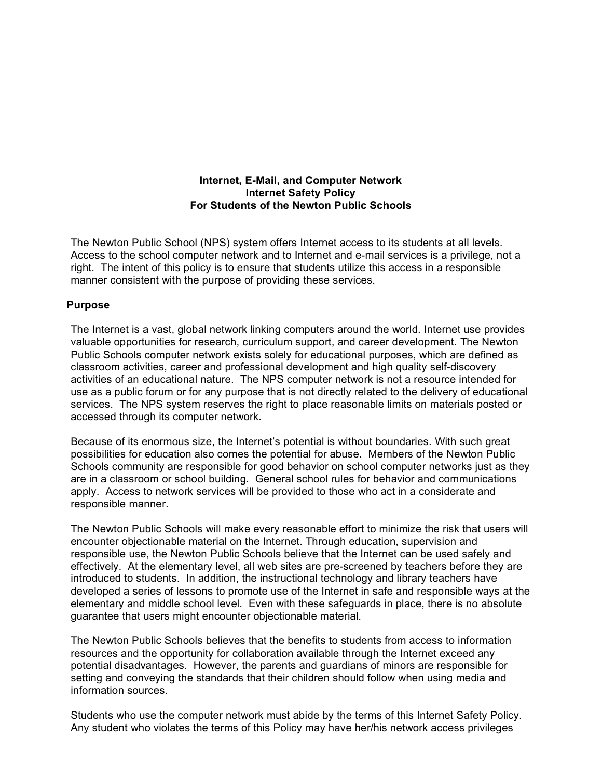## **Internet, E-Mail, and Computer Network Internet Safety Policy For Students of the Newton Public Schools**

The Newton Public School (NPS) system offers Internet access to its students at all levels. Access to the school computer network and to Internet and e-mail services is a privilege, not a right. The intent of this policy is to ensure that students utilize this access in a responsible manner consistent with the purpose of providing these services.

## **Purpose**

The Internet is a vast, global network linking computers around the world. Internet use provides valuable opportunities for research, curriculum support, and career development. The Newton Public Schools computer network exists solely for educational purposes, which are defined as classroom activities, career and professional development and high quality self-discovery activities of an educational nature. The NPS computer network is not a resource intended for use as a public forum or for any purpose that is not directly related to the delivery of educational services. The NPS system reserves the right to place reasonable limits on materials posted or accessed through its computer network.

Because of its enormous size, the Internet's potential is without boundaries. With such great possibilities for education also comes the potential for abuse. Members of the Newton Public Schools community are responsible for good behavior on school computer networks just as they are in a classroom or school building. General school rules for behavior and communications apply. Access to network services will be provided to those who act in a considerate and responsible manner.

The Newton Public Schools will make every reasonable effort to minimize the risk that users will encounter objectionable material on the Internet. Through education, supervision and responsible use, the Newton Public Schools believe that the Internet can be used safely and effectively. At the elementary level, all web sites are pre-screened by teachers before they are introduced to students. In addition, the instructional technology and library teachers have developed a series of lessons to promote use of the Internet in safe and responsible ways at the elementary and middle school level. Even with these safeguards in place, there is no absolute guarantee that users might encounter objectionable material.

The Newton Public Schools believes that the benefits to students from access to information resources and the opportunity for collaboration available through the Internet exceed any potential disadvantages. However, the parents and guardians of minors are responsible for setting and conveying the standards that their children should follow when using media and information sources.

Students who use the computer network must abide by the terms of this Internet Safety Policy. Any student who violates the terms of this Policy may have her/his network access privileges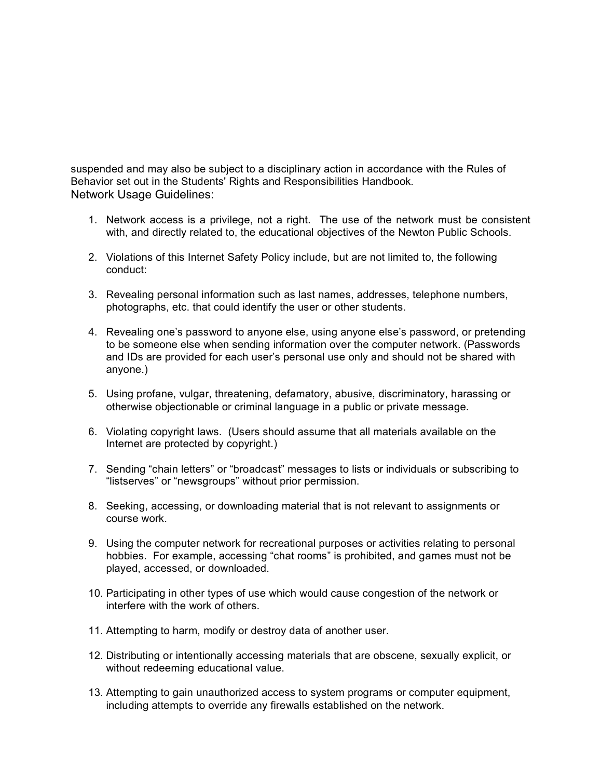suspended and may also be subject to a disciplinary action in accordance with the Rules of Behavior set out in the Students' Rights and Responsibilities Handbook*.*  Network Usage Guidelines:

- 1. Network access is a privilege, not a right. The use of the network must be consistent with, and directly related to, the educational objectives of the Newton Public Schools.
- 2. Violations of this Internet Safety Policy include, but are not limited to, the following conduct:
- 3. Revealing personal information such as last names, addresses, telephone numbers, photographs, etc. that could identify the user or other students.
- 4. Revealing one's password to anyone else, using anyone else's password, or pretending to be someone else when sending information over the computer network. (Passwords and IDs are provided for each user's personal use only and should not be shared with anyone.)
- 5. Using profane, vulgar, threatening, defamatory, abusive, discriminatory, harassing or otherwise objectionable or criminal language in a public or private message.
- 6. Violating copyright laws. (Users should assume that all materials available on the Internet are protected by copyright.)
- 7. Sending "chain letters" or "broadcast" messages to lists or individuals or subscribing to "listserves" or "newsgroups" without prior permission.
- 8. Seeking, accessing, or downloading material that is not relevant to assignments or course work.
- 9. Using the computer network for recreational purposes or activities relating to personal hobbies. For example, accessing "chat rooms" is prohibited, and games must not be played, accessed, or downloaded.
- 10. Participating in other types of use which would cause congestion of the network or interfere with the work of others.
- 11. Attempting to harm, modify or destroy data of another user.
- 12. Distributing or intentionally accessing materials that are obscene, sexually explicit, or without redeeming educational value.
- 13. Attempting to gain unauthorized access to system programs or computer equipment, including attempts to override any firewalls established on the network.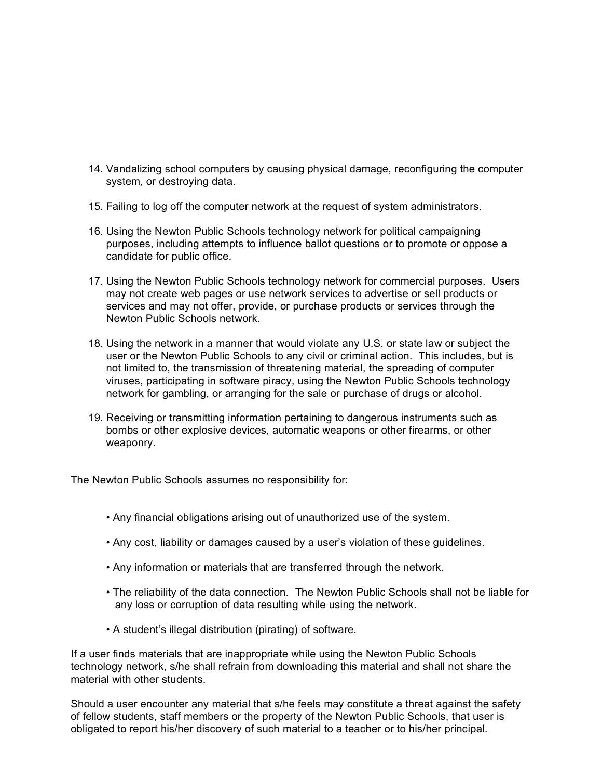- 14. Vandalizing school computers by causing physical damage, reconfiguring the computer system, or destroying data.
- 15. Failing to log off the computer network at the request of system administrators.
- 16. Using the Newton Public Schools technology network for political campaigning purposes, including attempts to influence ballot questions or to promote or oppose a candidate for public office.
- 17. Using the Newton Public Schools technology network for commercial purposes. Users may not create web pages or use network services to advertise or sell products or services and may not offer, provide, or purchase products or services through the Newton Public Schools network.
- 18. Using the network in a manner that would violate any U.S. or state law or subject the user or the Newton Public Schools to any civil or criminal action. This includes, but is not limited to, the transmission of threatening material, the spreading of computer viruses, participating in software piracy, using the Newton Public Schools technology network for gambling, or arranging for the sale or purchase of drugs or alcohol.
- 19. Receiving or transmitting information pertaining to dangerous instruments such as bombs or other explosive devices, automatic weapons or other firearms, or other weaponry.

The Newton Public Schools assumes no responsibility for:

- Any financial obligations arising out of unauthorized use of the system.
- Any cost, liability or damages caused by a user's violation of these guidelines.
- Any information or materials that are transferred through the network.
- The reliability of the data connection. The Newton Public Schools shall not be liable for any loss or corruption of data resulting while using the network.
- A student's illegal distribution (pirating) of software.

If a user finds materials that are inappropriate while using the Newton Public Schools technology network, s/he shall refrain from downloading this material and shall not share the material with other students.

Should a user encounter any material that s/he feels may constitute a threat against the safety of fellow students, staff members or the property of the Newton Public Schools, that user is obligated to report his/her discovery of such material to a teacher or to his/her principal.